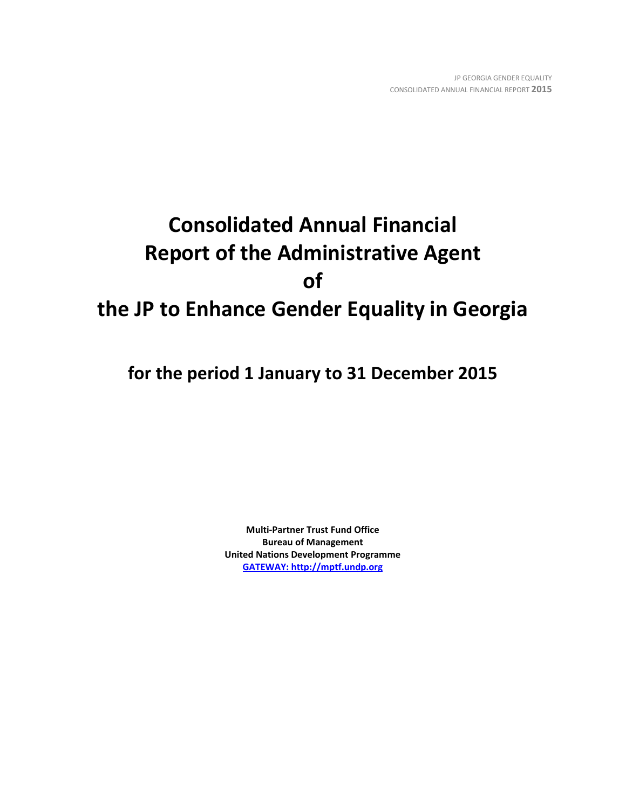# **Consolidated Annual Financial Report of the Administrative Agent of the JP to Enhance Gender Equality in Georgia**

**for the period 1 January to 31 December 2015**

**Multi-Partner Trust Fund Office Bureau of Management United Nations Development Programme [GATEWAY: http://mptf.undp.org](http://mptf.undp.org/)**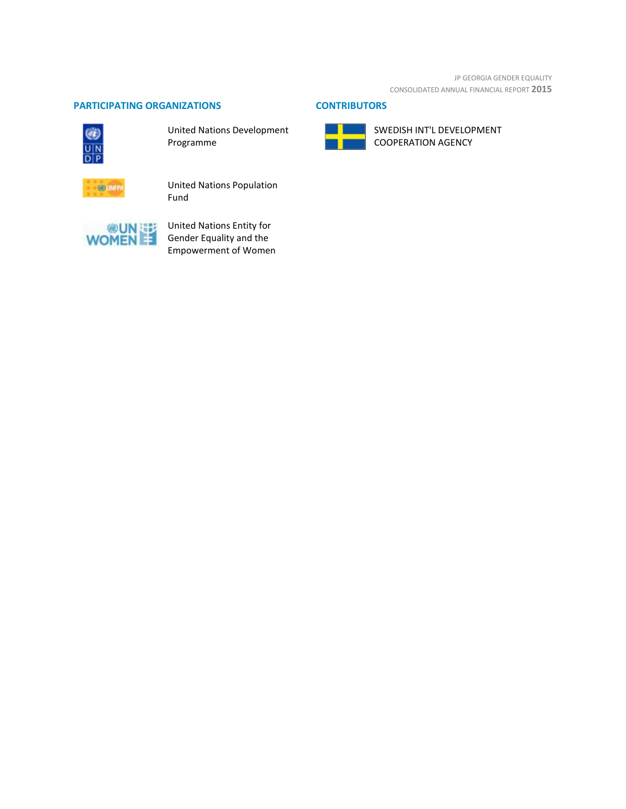JP GEORGIA GENDER EQUALITY CONSOLIDATED ANNUAL FINANCIAL REPORT **2015**

# **PARTICIPATING ORGANIZATIONS CONTRIBUTORS**



United Nations Development Programme



SWEDISH INT'L DEVELOPMENT COOPERATION AGENCY



United Nations Population Fund



United Nations Entity for Gender Equality and the Empowerment of Women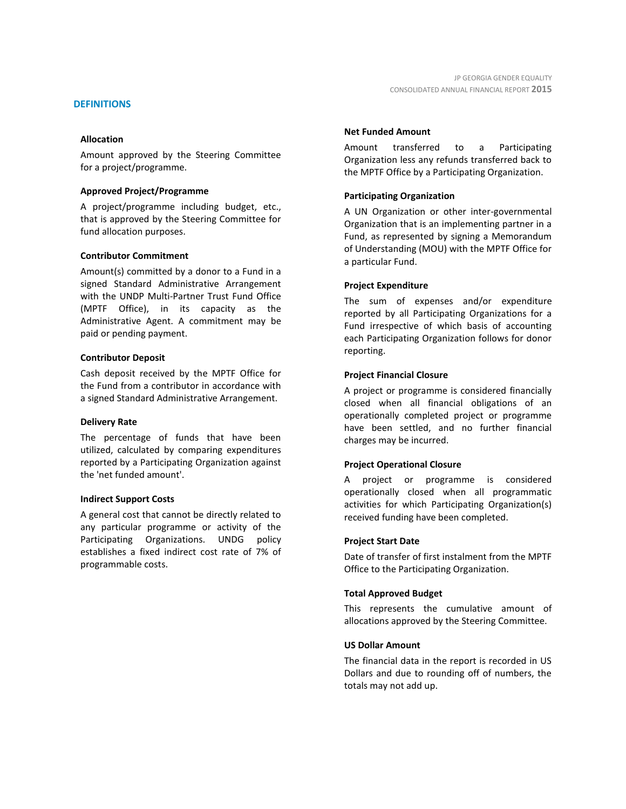## **DEFINITIONS**

### **Allocation**

Amount approved by the Steering Committee for a project/programme.

## **Approved Project/Programme**

A project/programme including budget, etc., that is approved by the Steering Committee for fund allocation purposes.

### **Contributor Commitment**

Amount(s) committed by a donor to a Fund in a signed Standard Administrative Arrangement with the UNDP Multi-Partner Trust Fund Office (MPTF Office), in its capacity as the Administrative Agent. A commitment may be paid or pending payment.

### **Contributor Deposit**

Cash deposit received by the MPTF Office for the Fund from a contributor in accordance with a signed Standard Administrative Arrangement.

#### **Delivery Rate**

The percentage of funds that have been utilized, calculated by comparing expenditures reported by a Participating Organization against the 'net funded amount'.

#### **Indirect Support Costs**

A general cost that cannot be directly related to any particular programme or activity of the Participating Organizations. UNDG policy establishes a fixed indirect cost rate of 7% of programmable costs.

### **Net Funded Amount**

Amount transferred to a Participating Organization less any refunds transferred back to the MPTF Office by a Participating Organization.

## **Participating Organization**

A UN Organization or other inter-governmental Organization that is an implementing partner in a Fund, as represented by signing a Memorandum of Understanding (MOU) with the MPTF Office for a particular Fund.

### **Project Expenditure**

The sum of expenses and/or expenditure reported by all Participating Organizations for a Fund irrespective of which basis of accounting each Participating Organization follows for donor reporting.

## **Project Financial Closure**

A project or programme is considered financially closed when all financial obligations of an operationally completed project or programme have been settled, and no further financial charges may be incurred.

# **Project Operational Closure**

A project or programme is considered operationally closed when all programmatic activities for which Participating Organization(s) received funding have been completed.

#### **Project Start Date**

Date of transfer of first instalment from the MPTF Office to the Participating Organization.

#### **Total Approved Budget**

This represents the cumulative amount of allocations approved by the Steering Committee.

# **US Dollar Amount**

The financial data in the report is recorded in US Dollars and due to rounding off of numbers, the totals may not add up.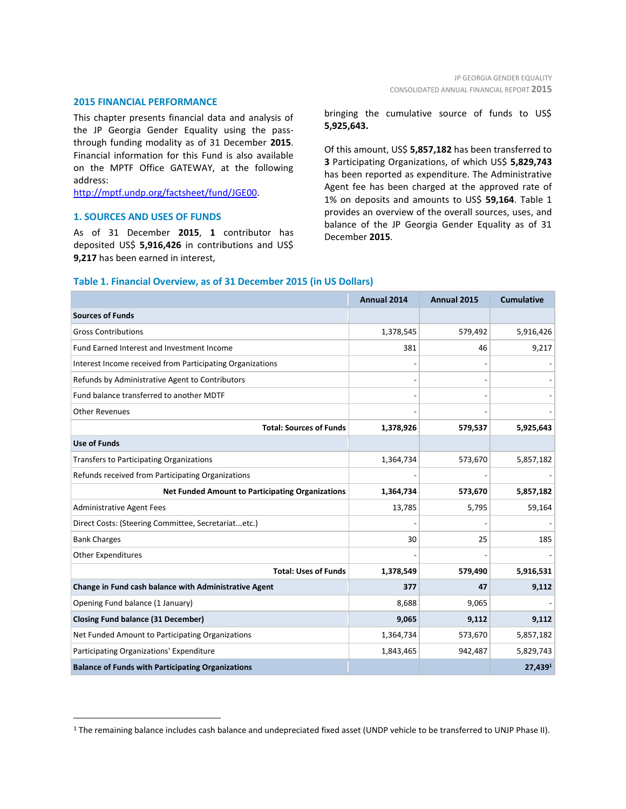#### **2015 FINANCIAL PERFORMANCE**

This chapter presents financial data and analysis of the JP Georgia Gender Equality using the passthrough funding modality as of 31 December **2015**. Financial information for this Fund is also available on the MPTF Office GATEWAY, at the following address:

[http://mptf.undp.org/factsheet/fund/JGE00.](http://mptf.undp.org/factsheet/fund/JGE00)

## **1. SOURCES AND USES OF FUNDS**

 $\overline{a}$ 

As of 31 December **2015**, **1** contributor has deposited US\$ **5,916,426** in contributions and US\$ **9,217** has been earned in interest,

bringing the cumulative source of funds to US\$ **5,925,643.**

Of this amount, US\$ **5,857,182** has been transferred to **3** Participating Organizations, of which US\$ **5,829,743** has been reported as expenditure. The Administrative Agent fee has been charged at the approved rate of 1% on deposits and amounts to US\$ **59,164**. Table 1 provides an overview of the overall sources, uses, and balance of the JP Georgia Gender Equality as of 31 December **2015**.

# **Table 1. Financial Overview, as of 31 December 2015 (in US Dollars)**

|                                                           | Annual 2014 | Annual 2015 | <b>Cumulative</b> |
|-----------------------------------------------------------|-------------|-------------|-------------------|
| <b>Sources of Funds</b>                                   |             |             |                   |
| <b>Gross Contributions</b>                                | 1,378,545   | 579,492     | 5,916,426         |
| Fund Earned Interest and Investment Income                | 381         | 46          | 9,217             |
| Interest Income received from Participating Organizations |             |             |                   |
| Refunds by Administrative Agent to Contributors           |             |             |                   |
| Fund balance transferred to another MDTF                  |             |             |                   |
| <b>Other Revenues</b>                                     |             |             |                   |
| <b>Total: Sources of Funds</b>                            | 1,378,926   | 579,537     | 5,925,643         |
| <b>Use of Funds</b>                                       |             |             |                   |
| <b>Transfers to Participating Organizations</b>           | 1,364,734   | 573,670     | 5,857,182         |
| Refunds received from Participating Organizations         |             |             |                   |
| <b>Net Funded Amount to Participating Organizations</b>   | 1,364,734   | 573,670     | 5,857,182         |
| <b>Administrative Agent Fees</b>                          | 13,785      | 5,795       | 59,164            |
| Direct Costs: (Steering Committee, Secretariatetc.)       |             |             |                   |
| <b>Bank Charges</b>                                       | 30          | 25          | 185               |
| <b>Other Expenditures</b>                                 |             |             |                   |
| <b>Total: Uses of Funds</b>                               | 1,378,549   | 579,490     | 5,916,531         |
| Change in Fund cash balance with Administrative Agent     | 377         | 47          | 9,112             |
| Opening Fund balance (1 January)                          | 8,688       | 9,065       |                   |
| <b>Closing Fund balance (31 December)</b>                 | 9,065       | 9,112       | 9,112             |
| Net Funded Amount to Participating Organizations          | 1,364,734   | 573,670     | 5,857,182         |
| Participating Organizations' Expenditure                  | 1,843,465   | 942,487     | 5,829,743         |
| <b>Balance of Funds with Participating Organizations</b>  |             |             | 27.4391           |

<sup>&</sup>lt;sup>1</sup> The remaining balance includes cash balance and undepreciated fixed asset (UNDP vehicle to be transferred to UNJP Phase II).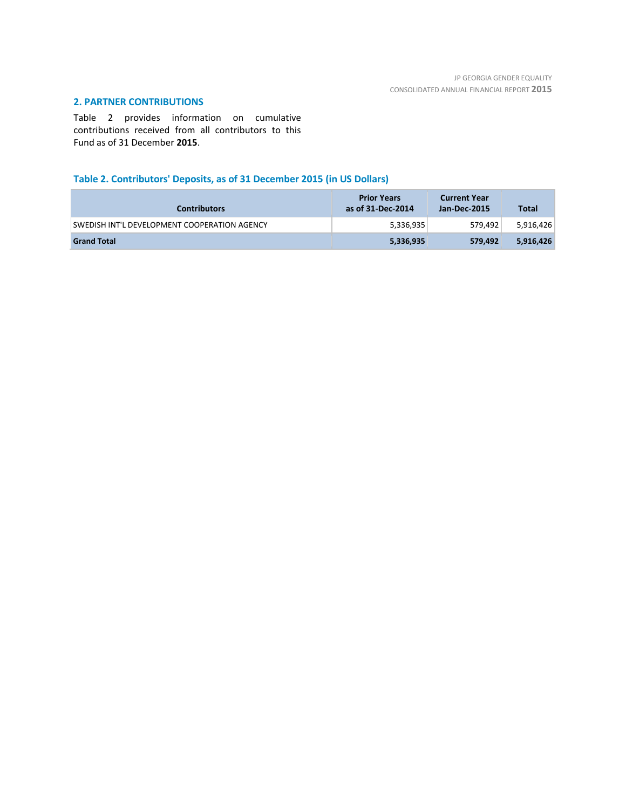# **2. PARTNER CONTRIBUTIONS**

Table 2 provides information on cumulative contributions received from all contributors to this Fund as of 31 December **2015**.

# **Table 2. Contributors' Deposits, as of 31 December 2015 (in US Dollars)**

| <b>Contributors</b>                          | <b>Prior Years</b><br>as of 31-Dec-2014 | <b>Current Year</b><br>Jan-Dec-2015 | Total     |
|----------------------------------------------|-----------------------------------------|-------------------------------------|-----------|
| SWEDISH INT'L DEVELOPMENT COOPERATION AGENCY | 5,336,935                               | 579.492                             | 5,916,426 |
| <b>Grand Total</b>                           | 5,336,935                               | 579.492                             | 5,916,426 |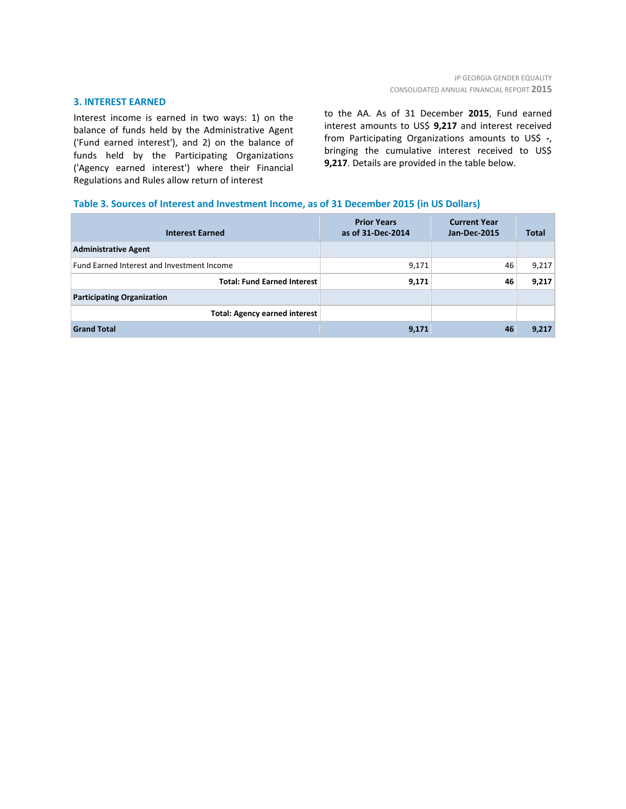# **3. INTEREST EARNED**

Interest income is earned in two ways: 1) on the balance of funds held by the Administrative Agent ('Fund earned interest'), and 2) on the balance of funds held by the Participating Organizations ('Agency earned interest') where their Financial Regulations and Rules allow return of interest

to the AA. As of 31 December **2015**, Fund earned interest amounts to US\$ **9,217** and interest received from Participating Organizations amounts to US\$ **-**, bringing the cumulative interest received to US\$ **9,217**. Details are provided in the table below.

# **Table 3. Sources of Interest and Investment Income, as of 31 December 2015 (in US Dollars)**

| <b>Interest Earned</b>                     | <b>Prior Years</b><br>as of 31-Dec-2014 | <b>Current Year</b><br><b>Jan-Dec-2015</b> | <b>Total</b> |
|--------------------------------------------|-----------------------------------------|--------------------------------------------|--------------|
| <b>Administrative Agent</b>                |                                         |                                            |              |
| Fund Earned Interest and Investment Income | 9,171                                   | 46                                         | 9,217        |
| <b>Total: Fund Earned Interest</b>         | 9,171                                   | 46                                         | 9,217        |
| <b>Participating Organization</b>          |                                         |                                            |              |
| <b>Total: Agency earned interest</b>       |                                         |                                            |              |
| <b>Grand Total</b>                         | 9,171                                   | 46                                         | 9,217        |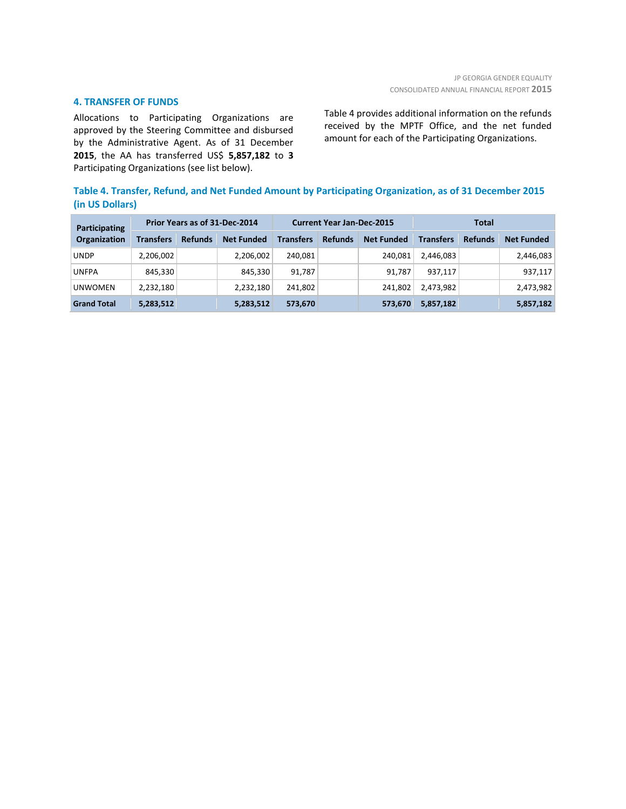# **4. TRANSFER OF FUNDS**

Allocations to Participating Organizations are approved by the Steering Committee and disbursed by the Administrative Agent. As of 31 December **2015**, the AA has transferred US\$ **5,857,182** to **3** Participating Organizations (see list below).

Table 4 provides additional information on the refunds received by the MPTF Office, and the net funded amount for each of the Participating Organizations.

# **Table 4. Transfer, Refund, and Net Funded Amount by Participating Organization, as of 31 December 2015 (in US Dollars)**

| Participating<br>Organization | Prior Years as of 31-Dec-2014 |                |                   | <b>Current Year Jan-Dec-2015</b> |                |                   | Total            |                |                   |
|-------------------------------|-------------------------------|----------------|-------------------|----------------------------------|----------------|-------------------|------------------|----------------|-------------------|
|                               | <b>Transfers</b>              | <b>Refunds</b> | <b>Net Funded</b> | <b>Transfers</b>                 | <b>Refunds</b> | <b>Net Funded</b> | <b>Transfers</b> | <b>Refunds</b> | <b>Net Funded</b> |
| <b>UNDP</b>                   | 2,206,002                     |                | 2,206,002         | 240,081                          |                | 240.081           | 2,446,083        |                | 2,446,083         |
| <b>UNFPA</b>                  | 845,330                       |                | 845,330           | 91,787                           |                | 91.787            | 937,117          |                | 937,117           |
| UNWOMEN                       | 2,232,180                     |                | 2,232,180         | 241,802                          |                | 241.802           | 2,473,982        |                | 2,473,982         |
| <b>Grand Total</b>            | 5,283,512                     |                | 5,283,512         | 573,670                          |                | 573,670           | 5,857,182        |                | 5,857,182         |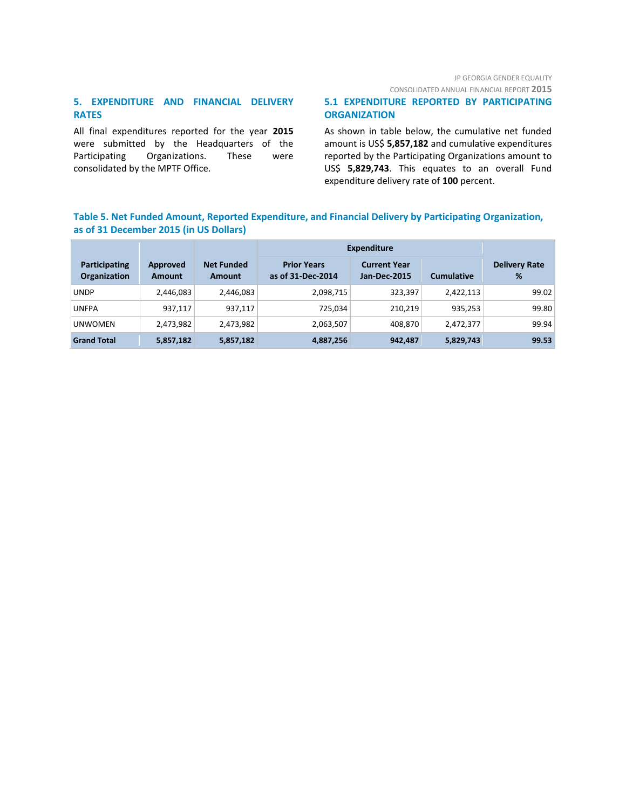CONSOLIDATED ANNUAL FINANCIAL REPORT **2015**

# **5. EXPENDITURE AND FINANCIAL DELIVERY RATES**

All final expenditures reported for the year **2015** were submitted by the Headquarters of the Participating Organizations. These were consolidated by the MPTF Office.

# **5.1 EXPENDITURE REPORTED BY PARTICIPATING ORGANIZATION**

As shown in table below, the cumulative net funded amount is US\$ **5,857,182** and cumulative expenditures reported by the Participating Organizations amount to US\$ **5,829,743**. This equates to an overall Fund expenditure delivery rate of **100** percent.

# **Table 5. Net Funded Amount, Reported Expenditure, and Financial Delivery by Participating Organization, as of 31 December 2015 (in US Dollars)**

|                                      |                           |                                    | <b>Expenditure</b>                      |                                     |                   |                           |
|--------------------------------------|---------------------------|------------------------------------|-----------------------------------------|-------------------------------------|-------------------|---------------------------|
| Participating<br><b>Organization</b> | Approved<br><b>Amount</b> | <b>Net Funded</b><br><b>Amount</b> | <b>Prior Years</b><br>as of 31-Dec-2014 | <b>Current Year</b><br>Jan-Dec-2015 | <b>Cumulative</b> | <b>Delivery Rate</b><br>% |
| <b>UNDP</b>                          | 2,446,083                 | 2,446,083                          | 2,098,715                               | 323,397                             | 2,422,113         | 99.02                     |
| <b>UNFPA</b>                         | 937,117                   | 937,117                            | 725,034                                 | 210.219                             | 935.253           | 99.80                     |
| <b>UNWOMEN</b>                       | 2,473,982                 | 2,473,982                          | 2,063,507                               | 408,870                             | 2,472,377         | 99.94                     |
| <b>Grand Total</b>                   | 5,857,182                 | 5,857,182                          | 4,887,256                               | 942,487                             | 5,829,743         | 99.53                     |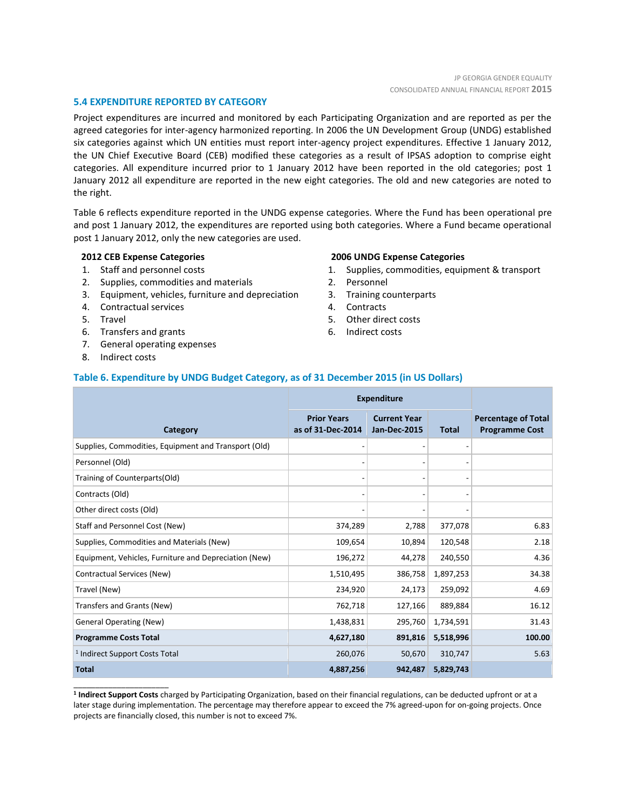# **5.4 EXPENDITURE REPORTED BY CATEGORY**

Project expenditures are incurred and monitored by each Participating Organization and are reported as per the agreed categories for inter-agency harmonized reporting. In 2006 the UN Development Group (UNDG) established six categories against which UN entities must report inter-agency project expenditures. Effective 1 January 2012, the UN Chief Executive Board (CEB) modified these categories as a result of IPSAS adoption to comprise eight categories. All expenditure incurred prior to 1 January 2012 have been reported in the old categories; post 1 January 2012 all expenditure are reported in the new eight categories. The old and new categories are noted to the right.

Table 6 reflects expenditure reported in the UNDG expense categories. Where the Fund has been operational pre and post 1 January 2012, the expenditures are reported using both categories. Where a Fund became operational post 1 January 2012, only the new categories are used.

# **2012 CEB Expense Categories**

- 1. Staff and personnel costs
- 2. Supplies, commodities and materials
- 3. Equipment, vehicles, furniture and depreciation
- 4. Contractual services
- 5. Travel
- 6. Transfers and grants
- 7. General operating expenses
- 8. Indirect costs

\_\_\_\_\_\_\_\_\_\_\_\_\_\_\_\_\_\_\_\_\_\_

# **2006 UNDG Expense Categories**

- 1. Supplies, commodities, equipment & transport
- 2. Personnel
- 3. Training counterparts
- 4. Contracts
- 5. Other direct costs
- 6. Indirect costs

# **Table 6. Expenditure by UNDG Budget Category, as of 31 December 2015 (in US Dollars)**

|                                                       | <b>Expenditure</b>                      |                                            |              |                                                     |
|-------------------------------------------------------|-----------------------------------------|--------------------------------------------|--------------|-----------------------------------------------------|
| Category                                              | <b>Prior Years</b><br>as of 31-Dec-2014 | <b>Current Year</b><br><b>Jan-Dec-2015</b> | <b>Total</b> | <b>Percentage of Total</b><br><b>Programme Cost</b> |
| Supplies, Commodities, Equipment and Transport (Old)  |                                         |                                            |              |                                                     |
| Personnel (Old)                                       |                                         |                                            |              |                                                     |
| Training of Counterparts(Old)                         |                                         |                                            |              |                                                     |
| Contracts (Old)                                       |                                         |                                            |              |                                                     |
| Other direct costs (Old)                              |                                         |                                            |              |                                                     |
| Staff and Personnel Cost (New)                        | 374,289                                 | 2,788                                      | 377,078      | 6.83                                                |
| Supplies, Commodities and Materials (New)             | 109,654                                 | 10,894                                     | 120,548      | 2.18                                                |
| Equipment, Vehicles, Furniture and Depreciation (New) | 196,272                                 | 44,278                                     | 240,550      | 4.36                                                |
| Contractual Services (New)                            | 1,510,495                               | 386,758                                    | 1,897,253    | 34.38                                               |
| Travel (New)                                          | 234,920                                 | 24,173                                     | 259,092      | 4.69                                                |
| Transfers and Grants (New)                            | 762,718                                 | 127,166                                    | 889,884      | 16.12                                               |
| <b>General Operating (New)</b>                        | 1,438,831                               | 295,760                                    | 1,734,591    | 31.43                                               |
| <b>Programme Costs Total</b>                          | 4,627,180                               | 891,816                                    | 5,518,996    | 100.00                                              |
| <sup>1</sup> Indirect Support Costs Total             | 260,076                                 | 50,670                                     | 310,747      | 5.63                                                |
| <b>Total</b>                                          | 4,887,256                               | 942,487                                    | 5,829,743    |                                                     |

**1 Indirect Support Costs** charged by Participating Organization, based on their financial regulations, can be deducted upfront or at a later stage during implementation. The percentage may therefore appear to exceed the 7% agreed-upon for on-going projects. Once projects are financially closed, this number is not to exceed 7%.